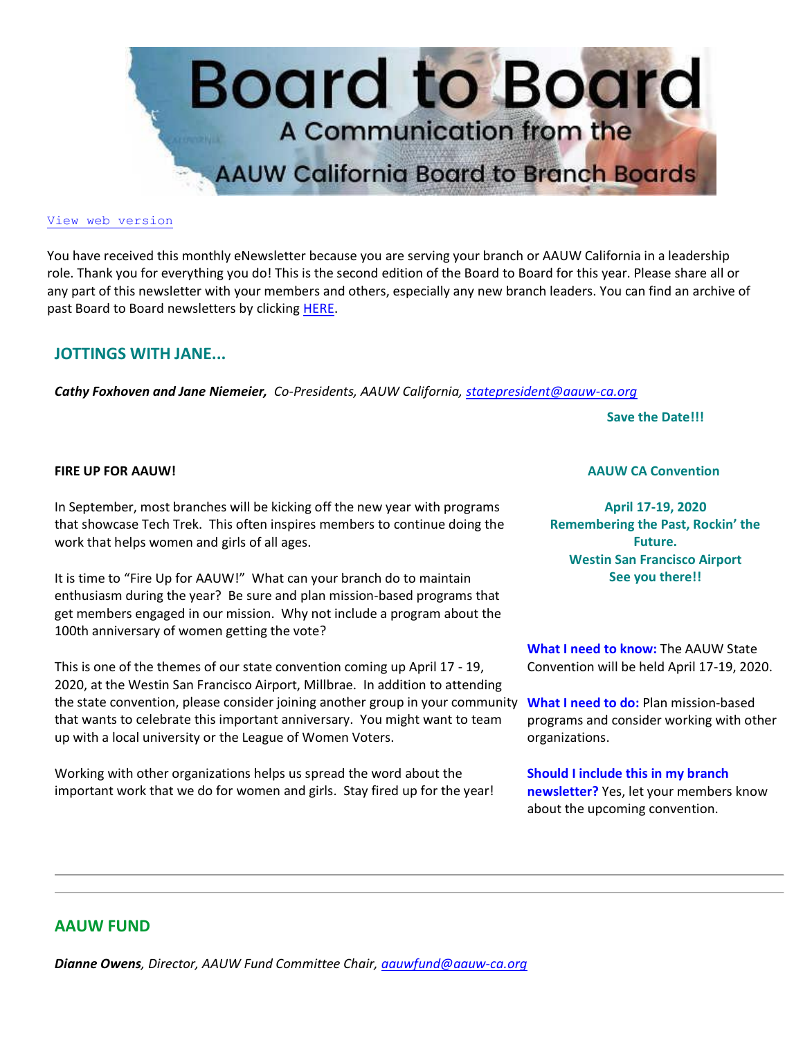

#### [View web version](https://bor.aauw-ca.org/sendy/w/892WZcugyyn7Dp4I7u2fztNQ/X4kB0ERVfDDPr7iAvcwqJA/qFyIWxHykEZGhK3GjhohGw)

You have received this monthly eNewsletter because you are serving your branch or AAUW California in a leadership role. Thank you for everything you do! This is the second edition of the Board to Board for this year. Please share all or any part of this newsletter with your members and others, especially any new branch leaders. You can find an archive of past Board to Board newsletters by clicking [HERE.](https://bor.aauw-ca.org/sendy/l/892WZcugyyn7Dp4I7u2fztNQ/crpVDbhoHg0vj2iLgdk763bg/qFyIWxHykEZGhK3GjhohGw)

### **JOTTINGS WITH JANE...**

*Cathy Foxhoven and Jane Niemeier, Co-Presidents, AAUW California, [statepresident@aauw-ca.org](mailto:statepresident@aauw-ca.org)*

**Save the Date!!!**

#### **FIRE UP FOR AAUW!**

In September, most branches will be kicking off the new year with programs that showcase Tech Trek. This often inspires members to continue doing the work that helps women and girls of all ages.

It is time to "Fire Up for AAUW!" What can your branch do to maintain enthusiasm during the year? Be sure and plan mission-based programs that get members engaged in our mission. Why not include a program about the 100th anniversary of women getting the vote?

This is one of the themes of our state convention coming up April 17 - 19, 2020, at the Westin San Francisco Airport, Millbrae. In addition to attending the state convention, please consider joining another group in your community **What I need to do:** Plan mission-based that wants to celebrate this important anniversary. You might want to team up with a local university or the League of Women Voters.

Working with other organizations helps us spread the word about the important work that we do for women and girls. Stay fired up for the year!

#### **AAUW CA Convention**

**April 17-19, 2020 Remembering the Past, Rockin' the Future. Westin San Francisco Airport See you there!!**

**What I need to know:** The AAUW State Convention will be held April 17-19, 2020.

programs and consider working with other organizations.

**Should I include this in my branch newsletter?** Yes, let your members know about the upcoming convention.

### **AAUW FUND**

*Dianne Owens, Director, AAUW Fund Committee Chair, [aauwfund@aauw-ca.org](mailto:aauwfund@aauw-ca.org)*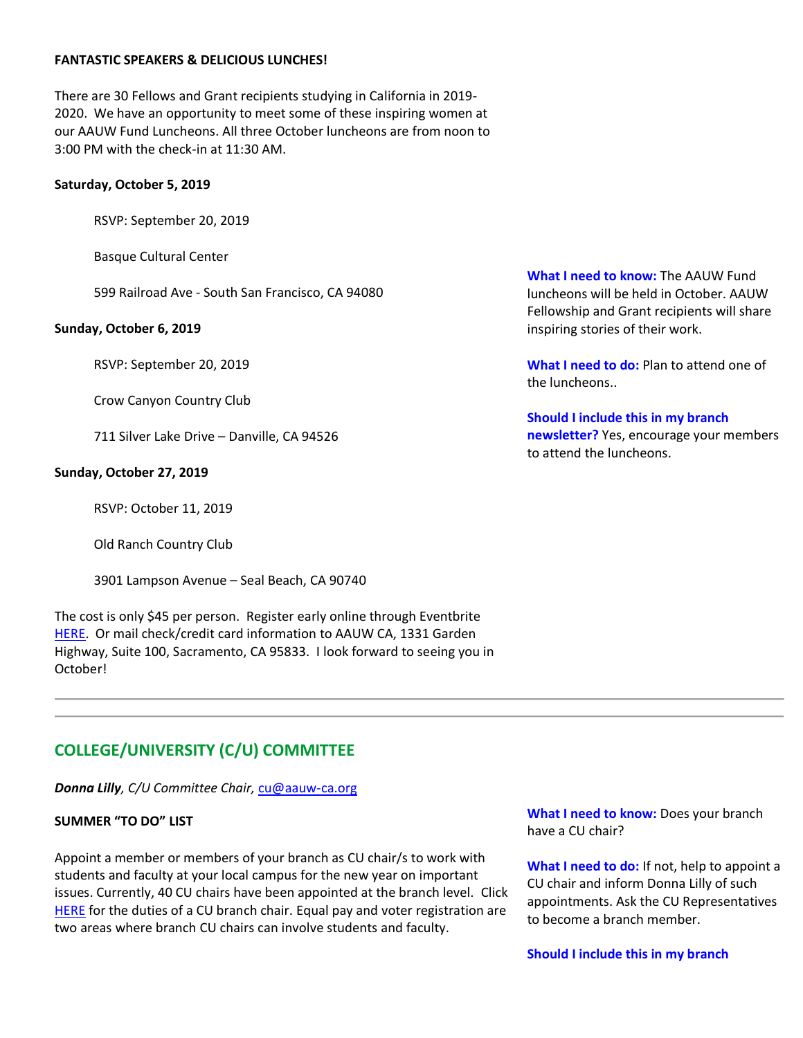#### **FANTASTIC SPEAKERS & DELICIOUS LUNCHES!**

There are 30 Fellows and Grant recipients studying in California in 2019- 2020. We have an opportunity to meet some of these inspiring women at our AAUW Fund Luncheons. All three October luncheons are from noon to 3:00 PM with the check-in at 11:30 AM.

#### **Saturday, October 5, 2019**

RSVP: September 20, 2019

Basque Cultural Center

599 Railroad Ave - South San Francisco, CA 94080

#### **Sunday, October 6, 2019**

RSVP: September 20, 2019

Crow Canyon Country Club

711 Silver Lake Drive – Danville, CA 94526

#### **Sunday, October 27, 2019**

RSVP: October 11, 2019

Old Ranch Country Club

3901 Lampson Avenue – Seal Beach, CA 90740

The cost is only \$45 per person. Register early online through Eventbrite [HERE.](https://bor.aauw-ca.org/sendy/l/892WZcugyyn7Dp4I7u2fztNQ/o3MnuBgEileD3892VTK763VS4A/qFyIWxHykEZGhK3GjhohGw) Or mail check/credit card information to AAUW CA, 1331 Garden Highway, Suite 100, Sacramento, CA 95833. I look forward to seeing you in October!

**What I need to know:** The AAUW Fund luncheons will be held in October. AAUW Fellowship and Grant recipients will share inspiring stories of their work.

**What I need to do:** Plan to attend one of the luncheons..

**Should I include this in my branch newsletter?** Yes, encourage your members to attend the luncheons.

### **COLLEGE/UNIVERSITY (C/U) COMMITTEE**

*Donna Lilly, C/U Committee Chair,* [cu@aauw-ca.org](mailto:cu@aauw-ca.org)

#### **SUMMER "TO DO" LIST**

Appoint a member or members of your branch as CU chair/s to work with students and faculty at your local campus for the new year on important issues. Currently, 40 CU chairs have been appointed at the branch level. Click [HERE](https://bor.aauw-ca.org/sendy/l/892WZcugyyn7Dp4I7u2fztNQ/hAvo4ysN6jwnp2hGnpQvvw/qFyIWxHykEZGhK3GjhohGw) for the duties of a CU branch chair. Equal pay and voter registration are two areas where branch CU chairs can involve students and faculty.

**What I need to know:** Does your branch have a CU chair?

**What I need to do:** If not, help to appoint a CU chair and inform Donna Lilly of such appointments. Ask the CU Representatives to become a branch member.

**Should I include this in my branch**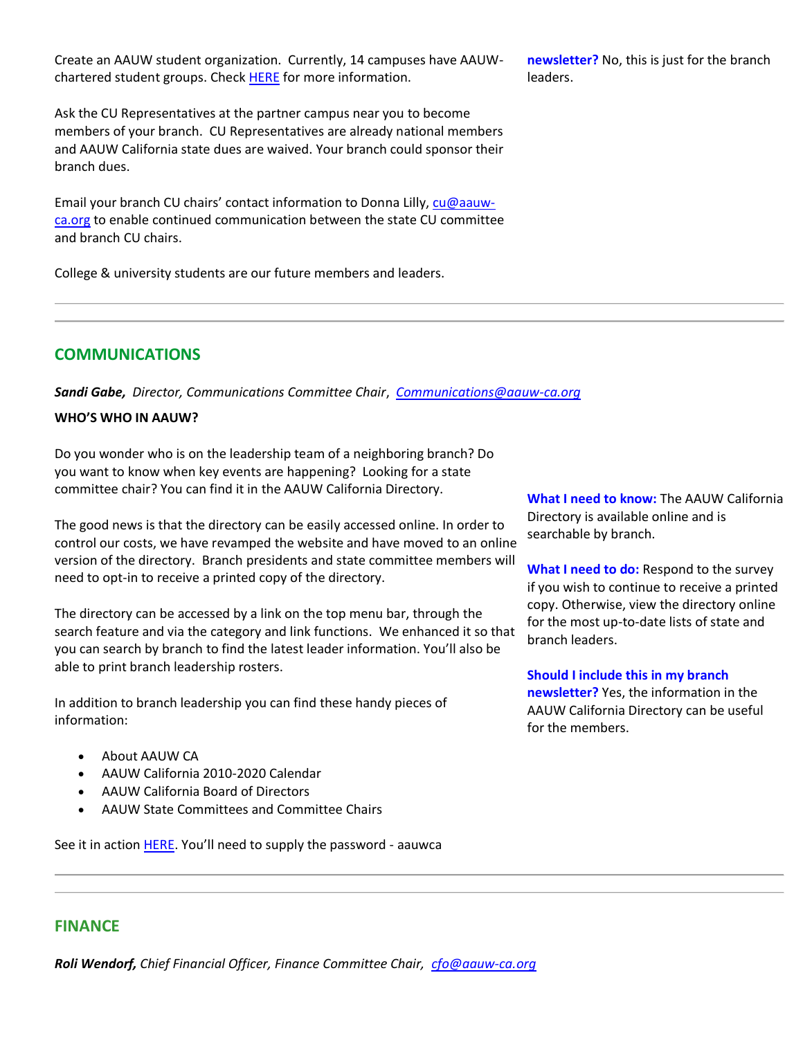Create an AAUW student organization. Currently, 14 campuses have AAUWchartered student groups. Check **HERE** for more information.

Ask the CU Representatives at the partner campus near you to become members of your branch. CU Representatives are already national members and AAUW California state dues are waived. Your branch could sponsor their branch dues.

Email your branch CU chairs' contact information to Donna Lilly, [cu@aauw](mailto:cu@aauw-ca.org)[ca.org](mailto:cu@aauw-ca.org) to enable continued communication between the state CU committee and branch CU chairs.

College & university students are our future members and leaders.

**newsletter?** No, this is just for the branch leaders.

## **COMMUNICATIONS**

*Sandi Gabe, Director, Communications Committee Chair*, *[Communications@aauw-ca.org](mailto:Communications@aauw-ca.org)*

### **WHO'S WHO IN AAUW?**

Do you wonder who is on the leadership team of a neighboring branch? Do you want to know when key events are happening? Looking for a state committee chair? You can find it in the AAUW California Directory.

The good news is that the directory can be easily accessed online. In order to control our costs, we have revamped the website and have moved to an online version of the directory. Branch presidents and state committee members will need to opt-in to receive a printed copy of the directory.

The directory can be accessed by a link on the top menu bar, through the search feature and via the category and link functions. We enhanced it so that you can search by branch to find the latest leader information. You'll also be able to print branch leadership rosters.

In addition to branch leadership you can find these handy pieces of information:

- About AAUW CA
- AAUW California 2010-2020 Calendar
- AAUW California Board of Directors
- AAUW State Committees and Committee Chairs

See it in actio[n HERE](https://bor.aauw-ca.org/sendy/l/892WZcugyyn7Dp4I7u2fztNQ/rr1cTCuaaZvtlU9ABx0wuA/qFyIWxHykEZGhK3GjhohGw). You'll need to supply the password - aauwca

**What I need to know:** The AAUW California Directory is available online and is searchable by branch.

**What I need to do:** Respond to the survey if you wish to continue to receive a printed copy. Otherwise, view the directory online for the most up-to-date lists of state and branch leaders.

**Should I include this in my branch newsletter?** Yes, the information in the AAUW California Directory can be useful for the members.

### **FINANCE**

*Roli Wendorf, Chief Financial Officer, Finance Committee Chair, [cfo@aauw-ca.org](mailto:cfo@aauw-ca.org)*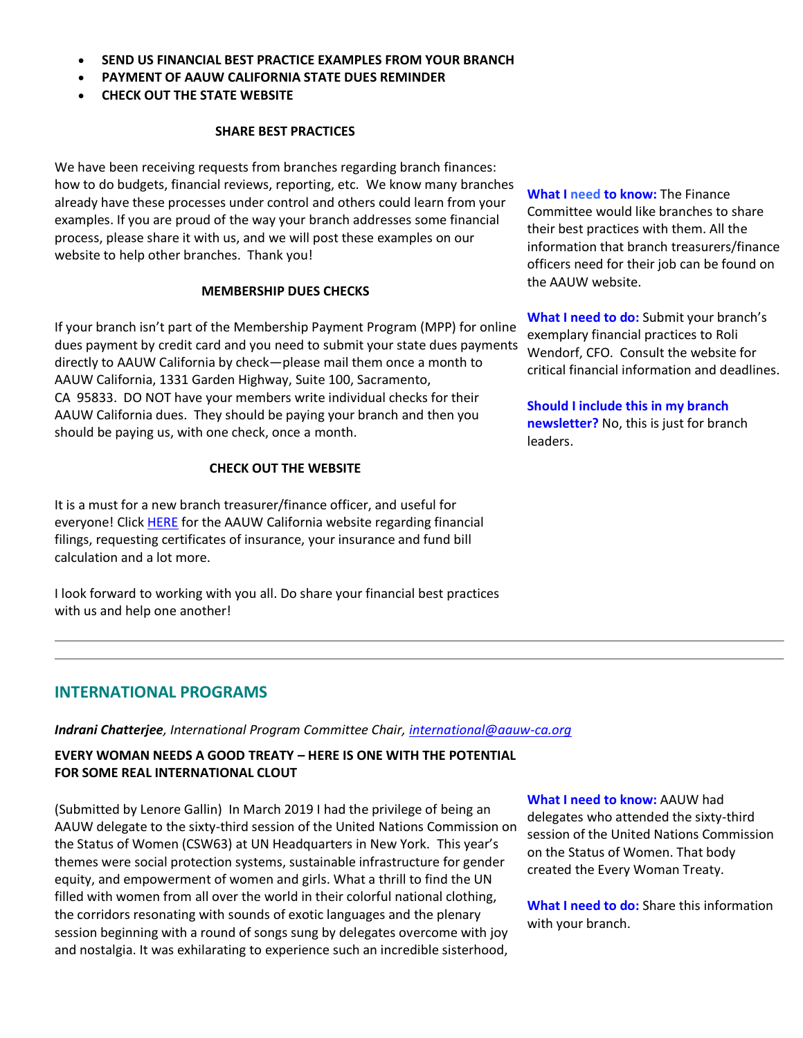- **SEND US FINANCIAL BEST PRACTICE EXAMPLES FROM YOUR BRANCH**
- **PAYMENT OF AAUW CALIFORNIA STATE DUES REMINDER**
- **CHECK OUT THE STATE WEBSITE**

#### **SHARE BEST PRACTICES**

We have been receiving requests from branches regarding branch finances: how to do budgets, financial reviews, reporting, etc. We know many branches already have these processes under control and others could learn from your examples. If you are proud of the way your branch addresses some financial process, please share it with us, and we will post these examples on our website to help other branches. Thank you!

#### **MEMBERSHIP DUES CHECKS**

If your branch isn't part of the Membership Payment Program (MPP) for online dues payment by credit card and you need to submit your state dues payments directly to AAUW California by check—please mail them once a month to AAUW California, 1331 Garden Highway, Suite 100, Sacramento, CA 95833. DO NOT have your members write individual checks for their AAUW California dues. They should be paying your branch and then you should be paying us, with one check, once a month.

#### **CHECK OUT THE WEBSITE**

It is a must for a new branch treasurer/finance officer, and useful for everyone! Click **HERE** for the AAUW California website regarding financial filings, requesting certificates of insurance, your insurance and fund bill calculation and a lot more.

I look forward to working with you all. Do share your financial best practices with us and help one another!

**What I need to know:** The Finance Committee would like branches to share their best practices with them. All the information that branch treasurers/finance officers need for their job can be found on the AAUW website.

**What I need to do:** Submit your branch's exemplary financial practices to Roli Wendorf, CFO. Consult the website for critical financial information and deadlines.

**Should I include this in my branch newsletter?** No, this is just for branch leaders.

### **INTERNATIONAL PROGRAMS**

*Indrani Chatterjee, International Program Committee Chair, [international@aauw-ca.org](mailto:international@aauw-ca.org)*

### **EVERY WOMAN NEEDS A GOOD TREATY – HERE IS ONE WITH THE POTENTIAL FOR SOME REAL INTERNATIONAL CLOUT**

(Submitted by Lenore Gallin) In March 2019 I had the privilege of being an AAUW delegate to the sixty-third session of the United Nations Commission on the Status of Women (CSW63) at UN Headquarters in New York. This year's themes were social protection systems, sustainable infrastructure for gender equity, and empowerment of women and girls. What a thrill to find the UN filled with women from all over the world in their colorful national clothing, the corridors resonating with sounds of exotic languages and the plenary session beginning with a round of songs sung by delegates overcome with joy and nostalgia. It was exhilarating to experience such an incredible sisterhood,

**What I need to know:** AAUW had

delegates who attended the sixty-third session of the United Nations Commission on the Status of Women. That body created the Every Woman Treaty.

**What I need to do:** Share this information with your branch.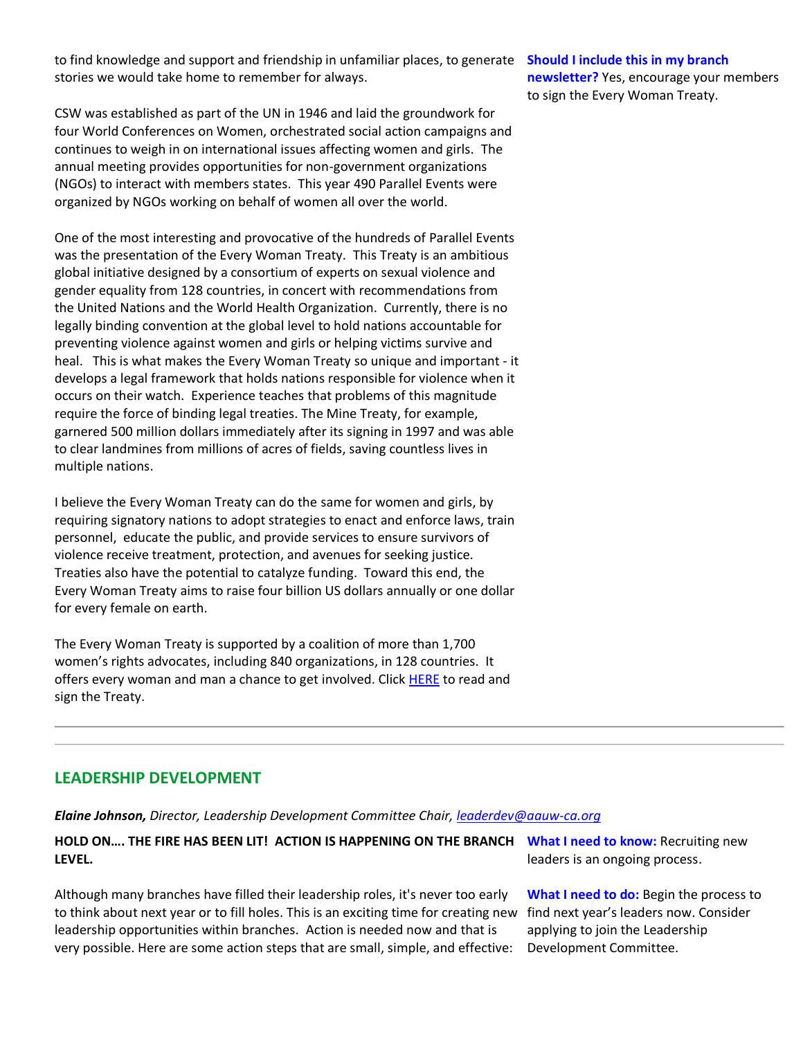to find knowledge and support and friendship in unfamiliar places, to generate **Should I include this in my branch**  stories we would take home to remember for always.

CSW was established as part of the UN in 1946 and laid the groundwork for four World Conferences on Women, orchestrated social action campaigns and continues to weigh in on international issues affecting women and girls. The annual meeting provides opportunities for non-government organizations (NGOs) to interact with members states. This year 490 Parallel Events were organized by NGOs working on behalf of women all over the world.

One of the most interesting and provocative of the hundreds of Parallel Events was the presentation of the Every Woman Treaty. This Treaty is an ambitious global initiative designed by a consortium of experts on sexual violence and gender equality from 128 countries, in concert with recommendations from the United Nations and the World Health Organization. Currently, there is no legally binding convention at the global level to hold nations accountable for preventing violence against women and girls or helping victims survive and heal. This is what makes the Every Woman Treaty so unique and important - it develops a legal framework that holds nations responsible for violence when it occurs on their watch. Experience teaches that problems of this magnitude require the force of binding legal treaties. The Mine Treaty, for example, garnered 500 million dollars immediately after its signing in 1997 and was able to clear landmines from millions of acres of fields, saving countless lives in multiple nations.

I believe the Every Woman Treaty can do the same for women and girls, by requiring signatory nations to adopt strategies to enact and enforce laws, train personnel, educate the public, and provide services to ensure survivors of violence receive treatment, protection, and avenues for seeking justice. Treaties also have the potential to catalyze funding. Toward this end, the Every Woman Treaty aims to raise four billion US dollars annually or one dollar for every female on earth.

The Every Woman Treaty is supported by a coalition of more than 1,700 women's rights advocates, including 840 organizations, in 128 countries. It offers every woman and man a chance to get involved. Click **HERE** to read and sign the Treaty.

### **LEADERSHIP DEVELOPMENT**

*Elaine Johnson, Director, Leadership Development Committee Chair, [leaderdev@aauw-ca.org](mailto:leaderdev@aauw-ca.org)*

**HOLD ON…. THE FIRE HAS BEEN LIT! ACTION IS HAPPENING ON THE BRANCH LEVEL.**

Although many branches have filled their leadership roles, it's never too early to think about next year or to fill holes. This is an exciting time for creating new find next year's leaders now. Consider leadership opportunities within branches. Action is needed now and that is very possible. Here are some action steps that are small, simple, and effective:

**What I need to know:** Recruiting new leaders is an ongoing process.

**What I need to do:** Begin the process to applying to join the Leadership Development Committee.

**newsletter?** Yes, encourage your members to sign the Every Woman Treaty.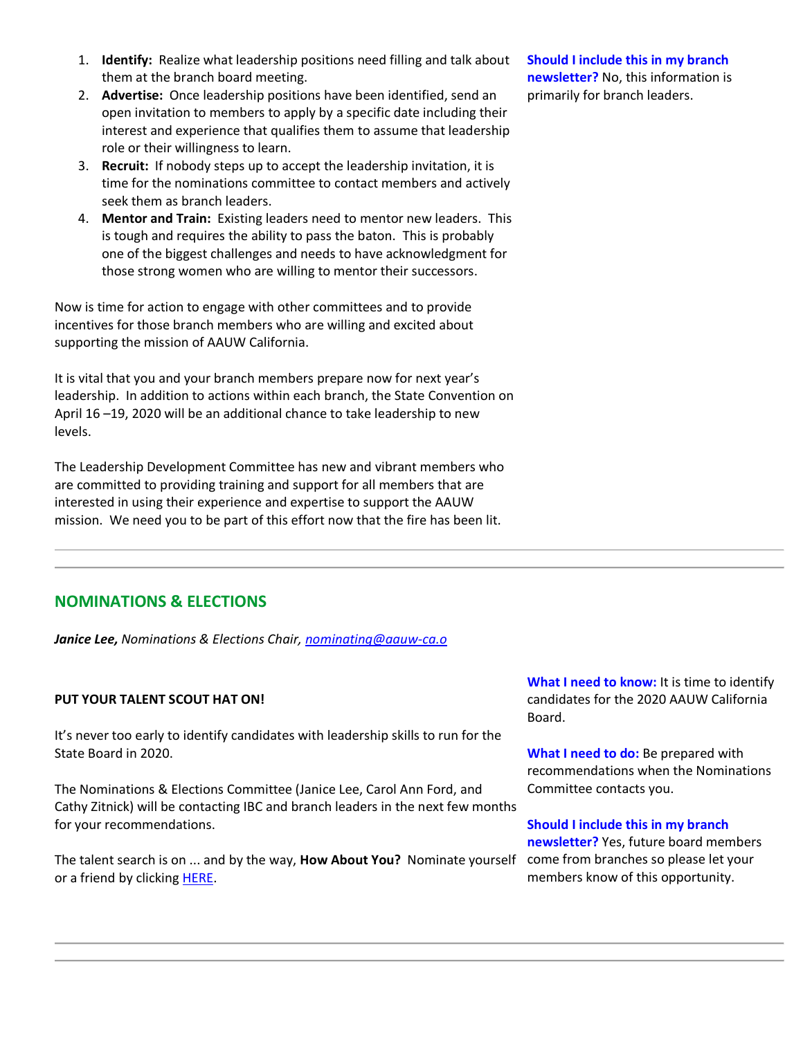- 1. **Identify:** Realize what leadership positions need filling and talk about them at the branch board meeting.
- 2. **Advertise:** Once leadership positions have been identified, send an open invitation to members to apply by a specific date including their interest and experience that qualifies them to assume that leadership role or their willingness to learn.
- 3. **Recruit:** If nobody steps up to accept the leadership invitation, it is time for the nominations committee to contact members and actively seek them as branch leaders.
- 4. **Mentor and Train:** Existing leaders need to mentor new leaders. This is tough and requires the ability to pass the baton. This is probably one of the biggest challenges and needs to have acknowledgment for those strong women who are willing to mentor their successors.

Now is time for action to engage with other committees and to provide incentives for those branch members who are willing and excited about supporting the mission of AAUW California.

It is vital that you and your branch members prepare now for next year's leadership. In addition to actions within each branch, the State Convention on April 16 –19, 2020 will be an additional chance to take leadership to new levels.

The Leadership Development Committee has new and vibrant members who are committed to providing training and support for all members that are interested in using their experience and expertise to support the AAUW mission. We need you to be part of this effort now that the fire has been lit.

# **NOMINATIONS & ELECTIONS**

*Janice Lee, Nominations & Elections Chair, [nominating@aauw-ca.o](mailto:nominating@aauw-ca.org)*

### **PUT YOUR TALENT SCOUT HAT ON!**

It's never too early to identify candidates with leadership skills to run for the State Board in 2020.

The Nominations & Elections Committee (Janice Lee, Carol Ann Ford, and Cathy Zitnick) will be contacting IBC and branch leaders in the next few months for your recommendations.

The talent search is on ... and by the way, **How About You?** Nominate yourself or a friend by clicking **HERE**.

**Should I include this in my branch newsletter?** No, this information is primarily for branch leaders.

**What I need to know:** It is time to identify candidates for the 2020 AAUW California Board.

**What I need to do:** Be prepared with recommendations when the Nominations Committee contacts you.

**Should I include this in my branch newsletter?** Yes, future board members come from branches so please let your members know of this opportunity.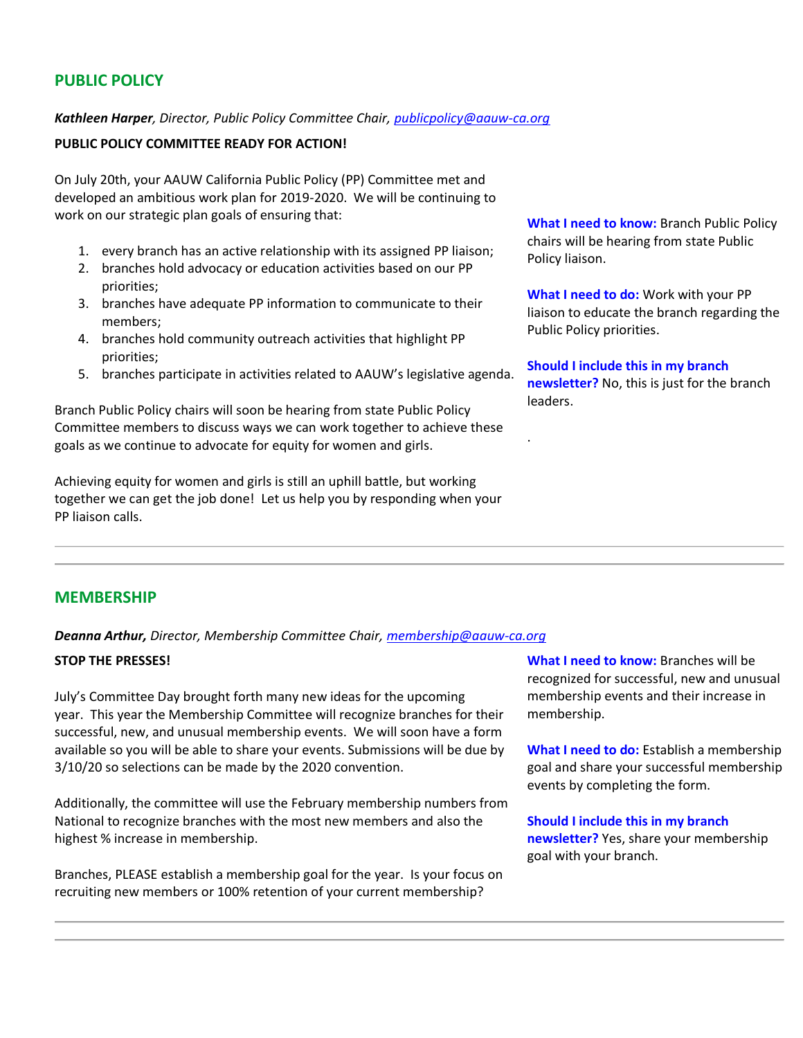# **PUBLIC POLICY**

### *Kathleen Harper, Director, Public Policy Committee Chair, [publicpolicy@aauw-ca.org](mailto:PublicPolicy@aauw-ca.org)*

### **PUBLIC POLICY COMMITTEE READY FOR ACTION!**

On July 20th, your AAUW California Public Policy (PP) Committee met and developed an ambitious work plan for 2019-2020. We will be continuing to work on our strategic plan goals of ensuring that:

- 1. every branch has an active relationship with its assigned PP liaison;
- 2. branches hold advocacy or education activities based on our PP priorities;
- 3. branches have adequate PP information to communicate to their members;
- 4. branches hold community outreach activities that highlight PP priorities;
- 5. branches participate in activities related to AAUW's legislative agenda.

Branch Public Policy chairs will soon be hearing from state Public Policy Committee members to discuss ways we can work together to achieve these goals as we continue to advocate for equity for women and girls.

Achieving equity for women and girls is still an uphill battle, but working together we can get the job done! Let us help you by responding when your PP liaison calls.

**What I need to know:** Branch Public Policy chairs will be hearing from state Public Policy liaison.

**What I need to do:** Work with your PP liaison to educate the branch regarding the Public Policy priorities.

**Should I include this in my branch newsletter?** No, this is just for the branch leaders.

.

### **MEMBERSHIP**

*Deanna Arthur, Director, Membership Committee Chair, [membership@aauw-ca.org](mailto:membership@aauw-ca.org)*

#### **STOP THE PRESSES!**

July's Committee Day brought forth many new ideas for the upcoming year. This year the Membership Committee will recognize branches for their successful, new, and unusual membership events. We will soon have a form available so you will be able to share your events. Submissions will be due by 3/10/20 so selections can be made by the 2020 convention.

Additionally, the committee will use the February membership numbers from National to recognize branches with the most new members and also the highest % increase in membership.

Branches, PLEASE establish a membership goal for the year. Is your focus on recruiting new members or 100% retention of your current membership?

**What I need to know:** Branches will be recognized for successful, new and unusual membership events and their increase in membership.

**What I need to do:** Establish a membership goal and share your successful membership events by completing the form.

**Should I include this in my branch newsletter?** Yes, share your membership goal with your branch.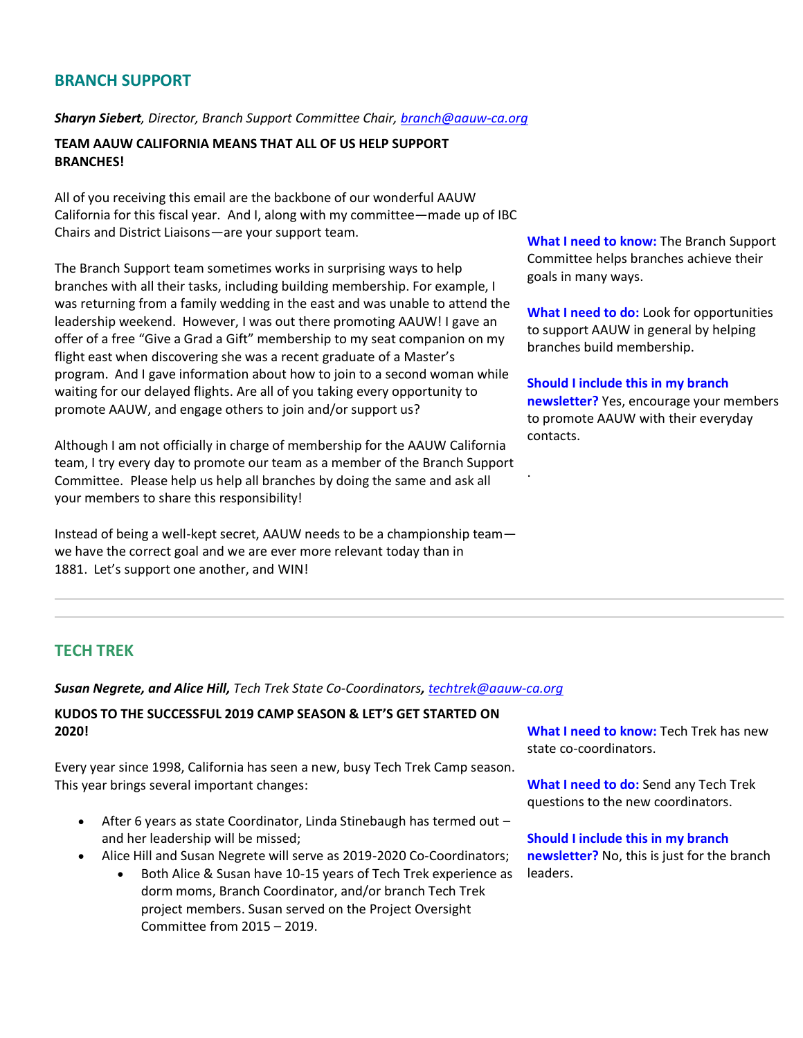# **BRANCH SUPPORT**

#### *Sharyn Siebert, Director, Branch Support Committee Chair, [branch@aauw-ca.org](mailto:branch@aauw-ca.org)*

**TEAM AAUW CALIFORNIA MEANS THAT ALL OF US HELP SUPPORT BRANCHES!**

All of you receiving this email are the backbone of our wonderful AAUW California for this fiscal year. And I, along with my committee—made up of IBC Chairs and District Liaisons—are your support team.

The Branch Support team sometimes works in surprising ways to help branches with all their tasks, including building membership. For example, I was returning from a family wedding in the east and was unable to attend the leadership weekend. However, I was out there promoting AAUW! I gave an offer of a free "Give a Grad a Gift" membership to my seat companion on my flight east when discovering she was a recent graduate of a Master's program. And I gave information about how to join to a second woman while waiting for our delayed flights. Are all of you taking every opportunity to promote AAUW, and engage others to join and/or support us?

Although I am not officially in charge of membership for the AAUW California team, I try every day to promote our team as a member of the Branch Support Committee. Please help us help all branches by doing the same and ask all your members to share this responsibility!

Instead of being a well-kept secret, AAUW needs to be a championship team we have the correct goal and we are ever more relevant today than in 1881. Let's support one another, and WIN!

**What I need to know:** The Branch Support Committee helps branches achieve their goals in many ways.

**What I need to do:** Look for opportunities to support AAUW in general by helping branches build membership.

**Should I include this in my branch newsletter?** Yes, encourage your members to promote AAUW with their everyday contacts.

.

# **TECH TREK**

*Susan Negrete, and Alice Hill, Tech Trek State Co-Coordinators, [techtrek@aauw-ca.org](mailto:techtrek@aauw-ca.org)*

### **KUDOS TO THE SUCCESSFUL 2019 CAMP SEASON & LET'S GET STARTED ON 2020!**

Every year since 1998, California has seen a new, busy Tech Trek Camp season. This year brings several important changes:

- After 6 years as state Coordinator, Linda Stinebaugh has termed out and her leadership will be missed;
- Alice Hill and Susan Negrete will serve as 2019-2020 Co-Coordinators;
	- Both Alice & Susan have 10-15 years of Tech Trek experience as dorm moms, Branch Coordinator, and/or branch Tech Trek project members. Susan served on the Project Oversight Committee from 2015 – 2019.

**What I need to know:** Tech Trek has new state co-coordinators.

**What I need to do:** Send any Tech Trek questions to the new coordinators.

**Should I include this in my branch newsletter?** No, this is just for the branch leaders.